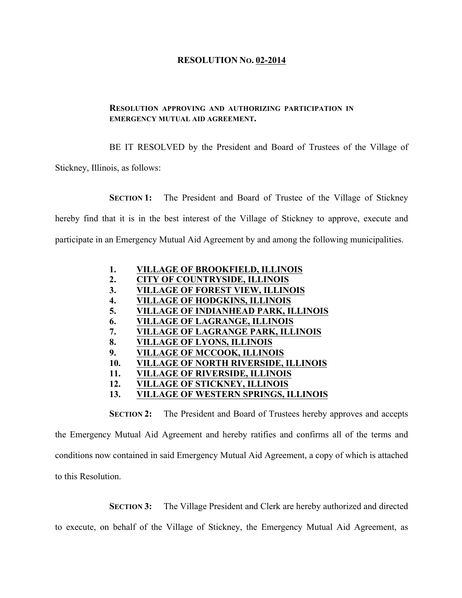## **RESOLUTION NO. 02-2014**

## **RESOLUTION APPROVING AND AUTHORIZING PARTICIPATION IN EMERGENCY MUTUAL AID AGREEMENT.**

BE IT RESOLVED by the President and Board of Trustees of the Village of

Stickney, Illinois, as follows:

**SECTION 1:** The President and Board of Trustee of the Village of Stickney

hereby find that it is in the best interest of the Village of Stickney to approve, execute and

participate in an Emergency Mutual Aid Agreement by and among the following municipalities.

- **1. VILLAGE OF BROOKFIELD, ILLINOIS**
- **2. CITY OF COUNTRYSIDE, ILLINOIS**
- **3. VILLAGE OF FOREST VIEW, ILLINOIS**
- **4. VILLAGE OF HODGKINS, ILLINOIS**
- **5. VILLAGE OF INDIANHEAD PARK, ILLINOIS**
- **6. VILLAGE OF LAGRANGE, ILLINOIS**
- **7. VILLAGE OF LAGRANGE PARK, ILLINOIS**
- **8. VILLAGE OF LYONS, ILLINOIS**
- **9. VILLAGE OF MCCOOK, ILLINOIS**
- **10. VILLAGE OF NORTH RIVERSIDE, ILLINOIS**
- **11. VILLAGE OF RIVERSIDE, ILLINOIS**
- **12. VILLAGE OF STICKNEY, ILLINOIS**
- **13. VILLAGE OF WESTERN SPRINGS, ILLINOIS**

**SECTION 2:** The President and Board of Trustees hereby approves and accepts the Emergency Mutual Aid Agreement and hereby ratifies and confirms all of the terms and conditions now contained in said Emergency Mutual Aid Agreement, a copy of which is attached to this Resolution.

**SECTION 3:** The Village President and Clerk are hereby authorized and directed

to execute, on behalf of the Village of Stickney, the Emergency Mutual Aid Agreement, as